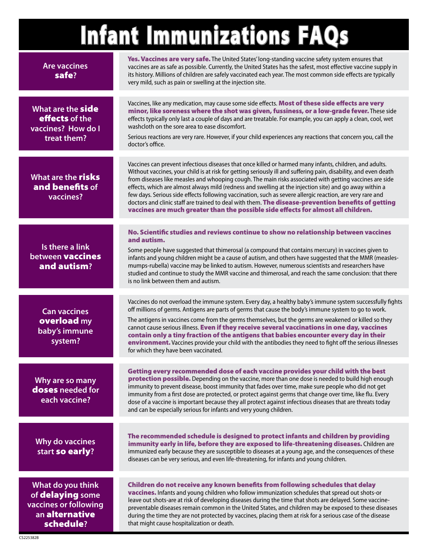## Infant Immunizations FAQs

| <b>Are vaccines</b><br>safe?                                                                  | Yes. Vaccines are very safe. The United States' long-standing vaccine safety system ensures that<br>vaccines are as safe as possible. Currently, the United States has the safest, most effective vaccine supply in<br>its history. Millions of children are safely vaccinated each year. The most common side effects are typically<br>very mild, such as pain or swelling at the injection site.                                                                                                                                                                                                                                                                                                                                                        |
|-----------------------------------------------------------------------------------------------|-----------------------------------------------------------------------------------------------------------------------------------------------------------------------------------------------------------------------------------------------------------------------------------------------------------------------------------------------------------------------------------------------------------------------------------------------------------------------------------------------------------------------------------------------------------------------------------------------------------------------------------------------------------------------------------------------------------------------------------------------------------|
| What are the <b>side</b><br>effects of the<br>vaccines? How do I<br>treat them?               | Vaccines, like any medication, may cause some side effects. Most of these side effects are very<br>minor, like soreness where the shot was given, fussiness, or a low-grade fever. These side<br>effects typically only last a couple of days and are treatable. For example, you can apply a clean, cool, wet<br>washcloth on the sore area to ease discomfort.<br>Serious reactions are very rare. However, if your child experiences any reactions that concern you, call the<br>doctor's office.                                                                                                                                                                                                                                                      |
| What are the risks<br>and benefits of<br>vaccines?                                            | Vaccines can prevent infectious diseases that once killed or harmed many infants, children, and adults.<br>Without vaccines, your child is at risk for getting seriously ill and suffering pain, disability, and even death<br>from diseases like measles and whooping cough. The main risks associated with getting vaccines are side<br>effects, which are almost always mild (redness and swelling at the injection site) and go away within a<br>few days. Serious side effects following vaccination, such as severe allergic reaction, are very rare and<br>doctors and clinic staff are trained to deal with them. The disease-prevention benefits of getting<br>vaccines are much greater than the possible side effects for almost all children. |
| Is there a link<br>between <b>vaccines</b><br>and autism?                                     | No. Scientific studies and reviews continue to show no relationship between vaccines<br>and autism.<br>Some people have suggested that thimerosal (a compound that contains mercury) in vaccines given to<br>infants and young children might be a cause of autism, and others have suggested that the MMR (measles-<br>mumps-rubella) vaccine may be linked to autism. However, numerous scientists and researchers have<br>studied and continue to study the MMR vaccine and thimerosal, and reach the same conclusion: that there<br>is no link between them and autism.                                                                                                                                                                               |
| <b>Can vaccines</b><br>overload my<br>baby's immune<br>system?                                | Vaccines do not overload the immune system. Every day, a healthy baby's immune system successfully fights<br>off millions of germs. Antigens are parts of germs that cause the body's immune system to go to work.<br>The antigens in vaccines come from the germs themselves, but the germs are weakened or killed so they<br>cannot cause serious illness. Even if they receive several vaccinations in one day, vaccines<br>contain only a tiny fraction of the antigens that babies encounter every day in their<br>environment. Vaccines provide your child with the antibodies they need to fight off the serious illnesses<br>for which they have been vaccinated.                                                                                 |
| Why are so many<br>doses needed for<br>each vaccine?                                          | Getting every recommended dose of each vaccine provides your child with the best<br>protection possible. Depending on the vaccine, more than one dose is needed to build high enough<br>immunity to prevent disease, boost immunity that fades over time, make sure people who did not get<br>immunity from a first dose are protected, or protect against germs that change over time, like flu. Every<br>dose of a vaccine is important because they all protect against infectious diseases that are threats today<br>and can be especially serious for infants and very young children.                                                                                                                                                               |
| <b>Why do vaccines</b><br>start so early?                                                     | The recommended schedule is designed to protect infants and children by providing<br>immunity early in life, before they are exposed to life-threatening diseases. Children are<br>immunized early because they are susceptible to diseases at a young age, and the consequences of these<br>diseases can be very serious, and even life-threatening, for infants and young children.                                                                                                                                                                                                                                                                                                                                                                     |
| What do you think<br>of delaying some<br>vaccines or following<br>an alternative<br>schedule? | Children do not receive any known benefits from following schedules that delay<br>vaccines. Infants and young children who follow immunization schedules that spread out shots-or<br>leave out shots-are at risk of developing diseases during the time that shots are delayed. Some vaccine-<br>preventable diseases remain common in the United States, and children may be exposed to these diseases<br>during the time they are not protected by vaccines, placing them at risk for a serious case of the disease<br>that might cause hospitalization or death.                                                                                                                                                                                       |